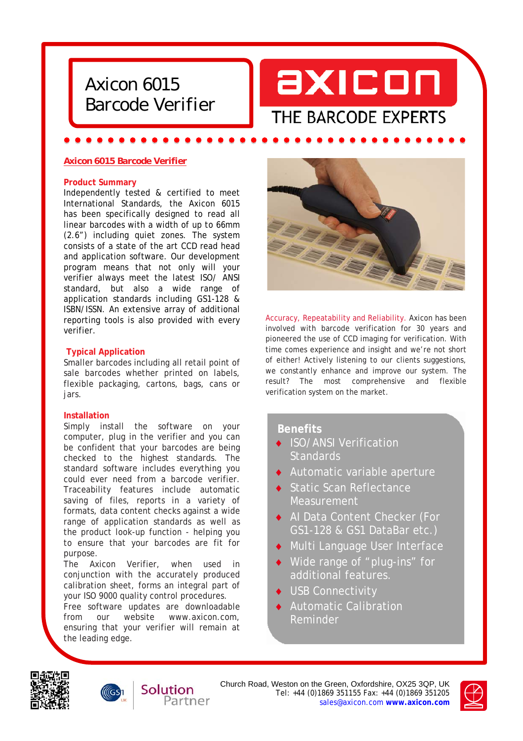



# *Axicon 6015 Barcode Verifier*

### **Product Summary**

Independently tested & certified to meet International Standards, the Axicon 6015 has been specifically designed to read all linear barcodes with a width of up to 66mm (2.6") including quiet zones. The system consists of a state of the art CCD read head and application software. Our development program means that not only will your verifier always meet the latest ISO/ ANSI standard, but also a wide range of application standards including GS1-128 & ISBN/ISSN. An extensive array of additional reporting tools is also provided with every verifier.

# **Typical Application**

Smaller barcodes including all retail point of sale barcodes whether printed on labels, flexible packaging, cartons, bags, cans or jars.

#### **Installation**

Simply install the software on your computer, plug in the verifier and you can be confident that your barcodes are being checked to the highest standards. The standard software includes everything you could ever need from a barcode verifier. Traceability features include automatic saving of files, reports in a variety of formats, data content checks against a wide range of application standards as well as the product look-up function - helping you to ensure that your barcodes are fit for purpose.

The Axicon Verifier, when used in conjunction with the accurately produced calibration sheet, forms an integral part of your ISO 9000 quality control procedures.

Free software updates are downloadable from our website www.axicon.com, ensuring that your verifier will remain at the leading edge.

Solution



Accuracy, Repeatability and Reliability. Axicon has been involved with barcode verification for 30 years and pioneered the use of CCD imaging for verification. With time comes experience and insight and we're not short of either! Actively listening to our clients suggestions, we constantly enhance and improve our system. The result? The most comprehensive and flexible verification system on the market.

# **Benefits**

- ◆ ISO/ANSI Verification **Standards**
- Automatic variable aperture
- ◆ Static Scan Reflectance **Measurement**
- ◆ AI Data Content Checker (For GS1-128 & GS1 DataBar etc.)
- Multi Language User Interface
- Wide range of "plug-ins" for additional features.
- **USB** Connectivity
- Automatic Calibration Reminder





Church Road, Weston on the Green, Oxfordshire, OX25 3QP, UK Tel: +44 (0)1869 351155 Fax: +44 (0)1869 351205 Partner sales@axicon.com **www.axicon.com**